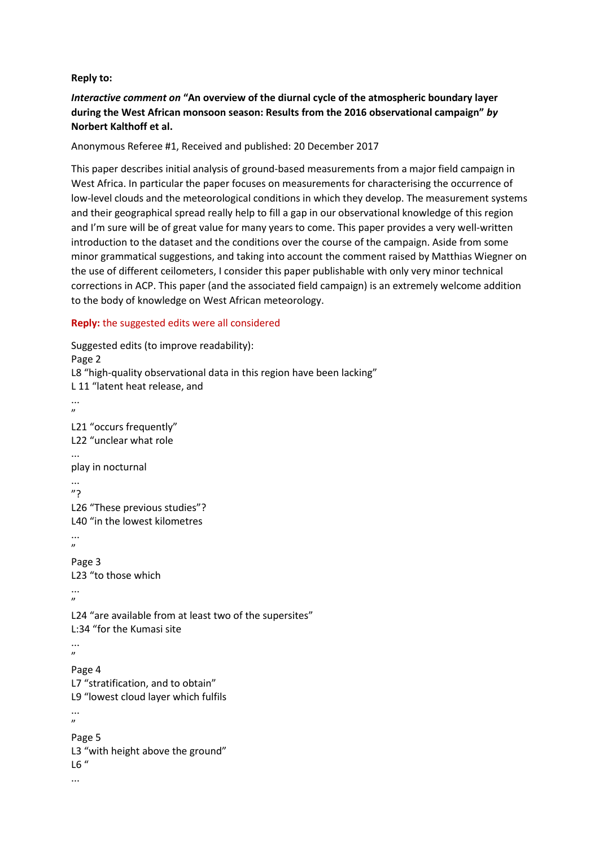## **Reply to:**

## *Interactive comment on* **"An overview of the diurnal cycle of the atmospheric boundary layer during the West African monsoon season: Results from the 2016 observational campaign"** *by*  **Norbert Kalthoff et al.**

Anonymous Referee #1, Received and published: 20 December 2017

This paper describes initial analysis of ground-based measurements from a major field campaign in West Africa. In particular the paper focuses on measurements for characterising the occurrence of low-level clouds and the meteorological conditions in which they develop. The measurement systems and their geographical spread really help to fill a gap in our observational knowledge of this region and I'm sure will be of great value for many years to come. This paper provides a very well-written introduction to the dataset and the conditions over the course of the campaign. Aside from some minor grammatical suggestions, and taking into account the comment raised by Matthias Wiegner on the use of different ceilometers, I consider this paper publishable with only very minor technical corrections in ACP. This paper (and the associated field campaign) is an extremely welcome addition to the body of knowledge on West African meteorology.

## **Reply:** the suggested edits were all considered

```
Suggested edits (to improve readability):
Page 2
L8 "high-quality observational data in this region have been lacking"
L 11 "latent heat release, and
...
,,
L21 "occurs frequently"
L22 "unclear what role
...
play in nocturnal
...
"?
L26 "These previous studies"?
L40 "in the lowest kilometres
...
\boldsymbol{\eta}Page 3
L23 "to those which
...
\mathbf{v}L24 "are available from at least two of the supersites"
L:34 "for the Kumasi site
...
"
Page 4
L7 "stratification, and to obtain"
L9 "lowest cloud layer which fulfils
...
"
Page 5
L3 "with height above the ground"
L6 "
...
```